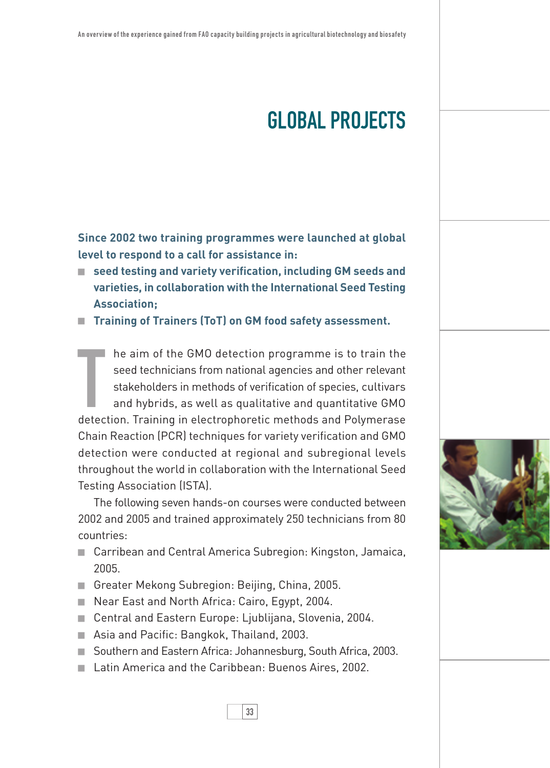## global projects

**Since 2002 two training programmes were launched at global level to respond to a call for assistance in:**

■ seed testing and variety verification, including **GM** seeds and **varieties, in collaboration with the International Seed Testing Association;**

**Training of Trainers (ToT) on GM food safety assessment.** 

The aim of the GMO detection programme is to train the seed technicians from national agencies and other relevant stakeholders in methods of verification of species, cultivars and hybrids, as well as qualitative and quanti he aim of the GMO detection programme is to train the seed technicians from national agencies and other relevant stakeholders in methods of verification of species, cultivars and hybrids, as well as qualitative and quantitative GMO Chain Reaction (PCR) techniques for variety verification and GMO detection were conducted at regional and subregional levels throughout the world in collaboration with the International Seed Testing Association (ISTA).

The following seven hands-on courses were conducted between 2002 and 2005 and trained approximately 250 technicians from 80 countries:

- Carribean and Central America Subregion: Kingston, Jamaica, 2005.
- Greater Mekong Subregion: Beijing, China, 2005.
- Near East and North Africa: Cairo, Egypt, 2004.
- Central and Eastern Europe: Ljublijana, Slovenia, 2004.
- Asia and Pacific: Bangkok, Thailand, 2003.
- Southern and Eastern Africa: Johannesburg, South Africa, 2003.
- Latin America and the Caribbean: Buenos Aires, 2002.



33